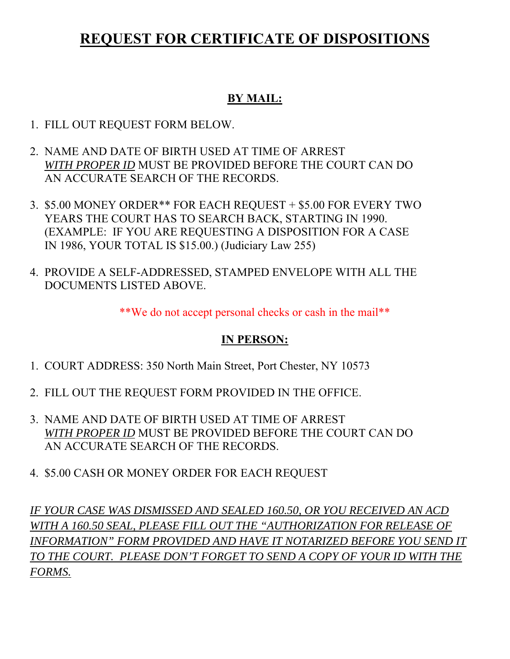# **REQUEST FOR CERTIFICATE OF DISPOSITIONS**

#### **BY MAIL:**

- 1. FILL OUT REQUEST FORM BELOW.
- 2. NAME AND DATE OF BIRTH USED AT TIME OF ARREST *WITH PROPER ID* MUST BE PROVIDED BEFORE THE COURT CAN DO AN ACCURATE SEARCH OF THE RECORDS.
- 3. \$5.00 MONEY ORDER\*\* FOR EACH REQUEST + \$5.00 FOR EVERY TWO YEARS THE COURT HAS TO SEARCH BACK, STARTING IN 1990. (EXAMPLE: IF YOU ARE REQUESTING A DISPOSITION FOR A CASE IN 1986, YOUR TOTAL IS \$15.00.) (Judiciary Law 255)
- 4. PROVIDE A SELF-ADDRESSED, STAMPED ENVELOPE WITH ALL THE DOCUMENTS LISTED ABOVE.

\*\*We do not accept personal checks or cash in the mail\*\*

#### **IN PERSON:**

- 1. COURT ADDRESS: 350 North Main Street, Port Chester, NY 10573
- 2. FILL OUT THE REQUEST FORM PROVIDED IN THE OFFICE.
- 3. NAME AND DATE OF BIRTH USED AT TIME OF ARREST *WITH PROPER ID* MUST BE PROVIDED BEFORE THE COURT CAN DO AN ACCURATE SEARCH OF THE RECORDS.
- 4. \$5.00 CASH OR MONEY ORDER FOR EACH REQUEST

*IF YOUR CASE WAS DISMISSED AND SEALED 160.50, OR YOU RECEIVED AN ACD WITH A 160.50 SEAL, PLEASE FILL OUT THE "AUTHORIZATION FOR RELEASE OF INFORMATION" FORM PROVIDED AND HAVE IT NOTARIZED BEFORE YOU SEND IT TO THE COURT. PLEASE DON'T FORGET TO SEND A COPY OF YOUR ID WITH THE FORMS.*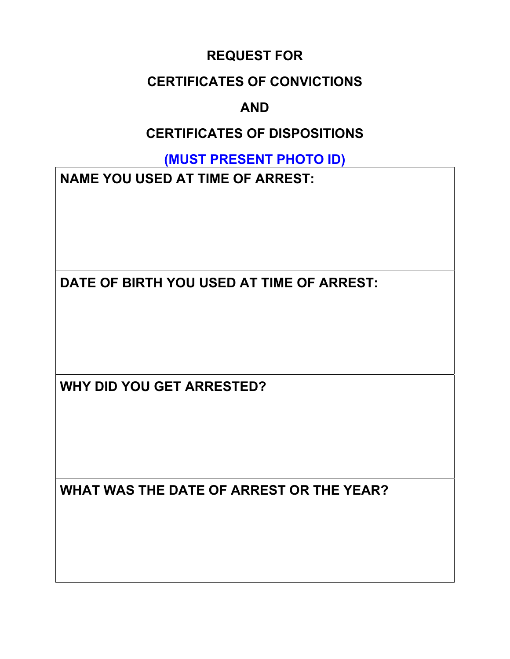### **REQUEST FOR**

### **CERTIFICATES OF CONVICTIONS**

## **AND**

## **CERTIFICATES OF DISPOSITIONS**

**(MUST PRESENT PHOTO ID)** 

**NAME YOU USED AT TIME OF ARREST:** 

**DATE OF BIRTH YOU USED AT TIME OF ARREST:** 

**WHY DID YOU GET ARRESTED?** 

**WHAT WAS THE DATE OF ARREST OR THE YEAR?**